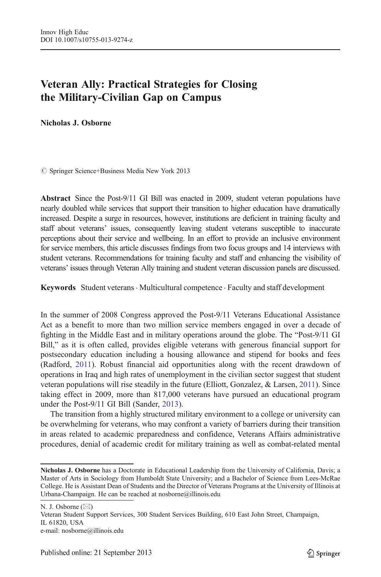# Veteran Ally: Practical Strategies for Closing the Military-Civilian Gap on Campus

Nicholas J. Osborne

 $\oslash$  Springer Science+Business Media New York 2013

Abstract Since the Post-9/11 GI Bill was enacted in 2009, student veteran populations have nearly doubled while services that support their transition to higher education have dramatically increased. Despite a surge in resources, however, institutions are deficient in training faculty and staff about veterans' issues, consequently leaving student veterans susceptible to inaccurate perceptions about their service and wellbeing. In an effort to provide an inclusive environment for service members, this article discusses findings from two focus groups and 14 interviews with student veterans. Recommendations for training faculty and staff and enhancing the visibility of veterans' issues through Veteran Ally training and student veteran discussion panels are discussed.

Keywords Student veterans. Multicultural competence . Faculty and staff development

In the summer of 2008 Congress approved the Post-9/11 Veterans Educational Assistance Act as a benefit to more than two million service members engaged in over a decade of fighting in the Middle East and in military operations around the globe. The "Post-9/11 GI Bill," as it is often called, provides eligible veterans with generous financial support for postsecondary education including a housing allowance and stipend for books and fees (Radford, [2011\)](#page-13-0). Robust financial aid opportunities along with the recent drawdown of operations in Iraq and high rates of unemployment in the civilian sector suggest that student veteran populations will rise steadily in the future (Elliott, Gonzalez, & Larsen, [2011](#page-12-0)). Since taking effect in 2009, more than 817,000 veterans have pursued an educational program under the Post-9/11 GI Bill (Sander, [2013](#page-13-0)).

The transition from a highly structured military environment to a college or university can be overwhelming for veterans, who may confront a variety of barriers during their transition in areas related to academic preparedness and confidence, Veterans Affairs administrative procedures, denial of academic credit for military training as well as combat-related mental

Veteran Student Support Services, 300 Student Services Building, 610 East John Street, Champaign, IL 61820, USA

Nicholas J. Osborne has a Doctorate in Educational Leadership from the University of California, Davis; a Master of Arts in Sociology from Humboldt State University; and a Bachelor of Science from Lees-McRae College. He is Assistant Dean of Students and the Director of Veterans Programs at the University of Illinois at Urbana-Champaign. He can be reached at nosborne@illinois.edu

N. J. Osborne  $(\boxtimes)$ 

e-mail: nosborne@illinois.edu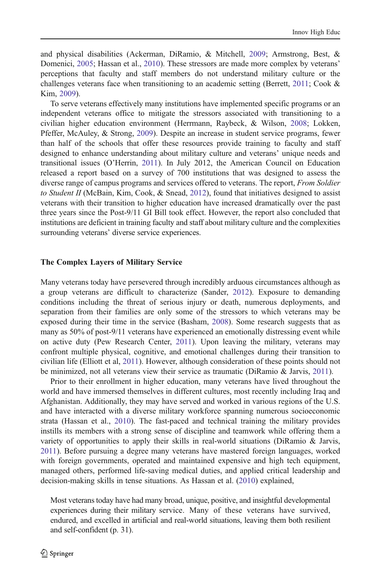and physical disabilities (Ackerman, DiRamio, & Mitchell, [2009;](#page-12-0) Armstrong, Best, & Domenici, [2005;](#page-12-0) Hassan et al., [2010\)](#page-12-0). These stressors are made more complex by veterans' perceptions that faculty and staff members do not understand military culture or the challenges veterans face when transitioning to an academic setting (Berrett, [2011](#page-12-0); Cook & Kim, [2009\)](#page-12-0).

To serve veterans effectively many institutions have implemented specific programs or an independent veterans office to mitigate the stressors associated with transitioning to a civilian higher education environment (Herrmann, Raybeck, & Wilson, [2008](#page-12-0); Lokken, Pfeffer, McAuley, & Strong, [2009\)](#page-12-0). Despite an increase in student service programs, fewer than half of the schools that offer these resources provide training to faculty and staff designed to enhance understanding about military culture and veterans' unique needs and transitional issues (O'Herrin, [2011](#page-12-0)). In July 2012, the American Council on Education released a report based on a survey of 700 institutions that was designed to assess the diverse range of campus programs and services offered to veterans. The report, From Soldier to Student II (McBain, Kim, Cook,  $\&$  Snead, [2012](#page-12-0)), found that initiatives designed to assist veterans with their transition to higher education have increased dramatically over the past three years since the Post-9/11 GI Bill took effect. However, the report also concluded that institutions are deficient in training faculty and staff about military culture and the complexities surrounding veterans' diverse service experiences.

#### The Complex Layers of Military Service

Many veterans today have persevered through incredibly arduous circumstances although as a group veterans are difficult to characterize (Sander, [2012\)](#page-13-0). Exposure to demanding conditions including the threat of serious injury or death, numerous deployments, and separation from their families are only some of the stressors to which veterans may be exposed during their time in the service (Basham, [2008\)](#page-12-0). Some research suggests that as many as 50% of post-9/11 veterans have experienced an emotionally distressing event while on active duty (Pew Research Center, [2011](#page-12-0)). Upon leaving the military, veterans may confront multiple physical, cognitive, and emotional challenges during their transition to civilian life (Elliott et al, [2011](#page-12-0)). However, although consideration of these points should not be minimized, not all veterans view their service as traumatic (DiRamio & Jarvis, [2011\)](#page-12-0).

Prior to their enrollment in higher education, many veterans have lived throughout the world and have immersed themselves in different cultures, most recently including Iraq and Afghanistan. Additionally, they may have served and worked in various regions of the U.S. and have interacted with a diverse military workforce spanning numerous socioeconomic strata (Hassan et al., [2010\)](#page-12-0). The fast-paced and technical training the military provides instills its members with a strong sense of discipline and teamwork while offering them a variety of opportunities to apply their skills in real-world situations (DiRamio & Jarvis, [2011](#page-12-0)). Before pursuing a degree many veterans have mastered foreign languages, worked with foreign governments, operated and maintained expensive and high tech equipment, managed others, performed life-saving medical duties, and applied critical leadership and decision-making skills in tense situations. As Hassan et al. ([2010\)](#page-12-0) explained,

Most veterans today have had many broad, unique, positive, and insightful developmental experiences during their military service. Many of these veterans have survived, endured, and excelled in artificial and real-world situations, leaving them both resilient and self-confident (p. 31).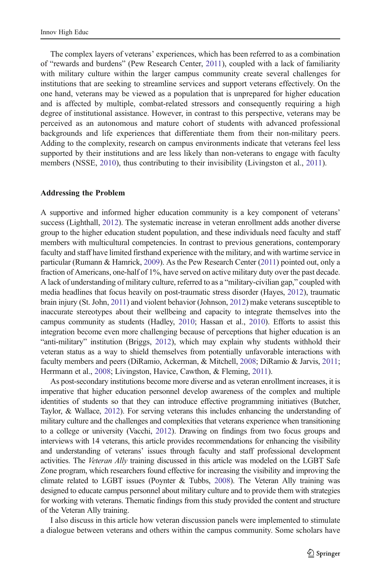The complex layers of veterans' experiences, which has been referred to as a combination of "rewards and burdens" (Pew Research Center, [2011](#page-12-0)), coupled with a lack of familiarity with military culture within the larger campus community create several challenges for institutions that are seeking to streamline services and support veterans effectively. On the one hand, veterans may be viewed as a population that is unprepared for higher education and is affected by multiple, combat-related stressors and consequently requiring a high degree of institutional assistance. However, in contrast to this perspective, veterans may be perceived as an autonomous and mature cohort of students with advanced professional backgrounds and life experiences that differentiate them from their non-military peers. Adding to the complexity, research on campus environments indicate that veterans feel less supported by their institutions and are less likely than non-veterans to engage with faculty members (NSSE, [2010](#page-12-0)), thus contributing to their invisibility (Livingston et al., [2011\)](#page-12-0).

#### Addressing the Problem

A supportive and informed higher education community is a key component of veterans' success (Lighthall, [2012\)](#page-12-0). The systematic increase in veteran enrollment adds another diverse group to the higher education student population, and these individuals need faculty and staff members with multicultural competencies. In contrast to previous generations, contemporary faculty and staff have limited firsthand experience with the military, and with wartime service in particular (Rumann & Hamrick, [2009](#page-13-0)). As the Pew Research Center ([2011\)](#page-12-0) pointed out, only a fraction of Americans, one-half of 1%, have served on active military duty over the past decade. A lack of understanding of military culture, referred to as a "military-civilian gap," coupled with media headlines that focus heavily on post-traumatic stress disorder (Hayes, [2012](#page-12-0)), traumatic brain injury (St. John, [2011](#page-13-0)) and violent behavior (Johnson, [2012\)](#page-12-0) make veterans susceptible to inaccurate stereotypes about their wellbeing and capacity to integrate themselves into the campus community as students (Hadley, [2010;](#page-12-0) Hassan et al., [2010\)](#page-12-0). Efforts to assist this integration become even more challenging because of perceptions that higher education is an "anti-military" institution (Briggs, [2012\)](#page-12-0), which may explain why students withhold their veteran status as a way to shield themselves from potentially unfavorable interactions with faculty members and peers (DiRamio, Ackerman, & Mitchell, [2008](#page-12-0); DiRamio & Jarvis, [2011](#page-12-0); Herrmann et al., [2008;](#page-12-0) Livingston, Havice, Cawthon, & Fleming, [2011](#page-12-0)).

As post-secondary institutions become more diverse and as veteran enrollment increases, it is imperative that higher education personnel develop awareness of the complex and multiple identities of students so that they can introduce effective programming initiatives (Butcher, Taylor, & Wallace, [2012\)](#page-12-0). For serving veterans this includes enhancing the understanding of military culture and the challenges and complexities that veterans experience when transitioning to a college or university (Vacchi, [2012\)](#page-13-0). Drawing on findings from two focus groups and interviews with 14 veterans, this article provides recommendations for enhancing the visibility and understanding of veterans' issues through faculty and staff professional development activities. The Veteran Ally training discussed in this article was modeled on the LGBT Safe Zone program, which researchers found effective for increasing the visibility and improving the climate related to LGBT issues (Poynter & Tubbs, [2008\)](#page-12-0). The Veteran Ally training was designed to educate campus personnel about military culture and to provide them with strategies for working with veterans. Thematic findings from this study provided the content and structure of the Veteran Ally training.

I also discuss in this article how veteran discussion panels were implemented to stimulate a dialogue between veterans and others within the campus community. Some scholars have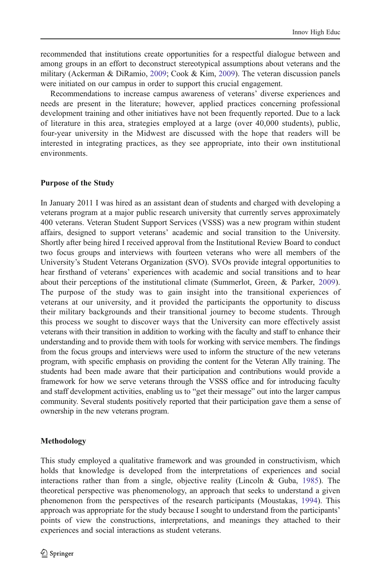recommended that institutions create opportunities for a respectful dialogue between and among groups in an effort to deconstruct stereotypical assumptions about veterans and the military (Ackerman & DiRamio, [2009](#page-12-0); Cook & Kim, [2009](#page-12-0)). The veteran discussion panels were initiated on our campus in order to support this crucial engagement.

Recommendations to increase campus awareness of veterans' diverse experiences and needs are present in the literature; however, applied practices concerning professional development training and other initiatives have not been frequently reported. Due to a lack of literature in this area, strategies employed at a large (over 40,000 students), public, four-year university in the Midwest are discussed with the hope that readers will be interested in integrating practices, as they see appropriate, into their own institutional environments.

# Purpose of the Study

In January 2011 I was hired as an assistant dean of students and charged with developing a veterans program at a major public research university that currently serves approximately 400 veterans. Veteran Student Support Services (VSSS) was a new program within student affairs, designed to support veterans' academic and social transition to the University. Shortly after being hired I received approval from the Institutional Review Board to conduct two focus groups and interviews with fourteen veterans who were all members of the University's Student Veterans Organization (SVO). SVOs provide integral opportunities to hear firsthand of veterans' experiences with academic and social transitions and to hear about their perceptions of the institutional climate (Summerlot, Green, & Parker, [2009](#page-13-0)). The purpose of the study was to gain insight into the transitional experiences of veterans at our university, and it provided the participants the opportunity to discuss their military backgrounds and their transitional journey to become students. Through this process we sought to discover ways that the University can more effectively assist veterans with their transition in addition to working with the faculty and staff to enhance their understanding and to provide them with tools for working with service members. The findings from the focus groups and interviews were used to inform the structure of the new veterans program, with specific emphasis on providing the content for the Veteran Ally training. The students had been made aware that their participation and contributions would provide a framework for how we serve veterans through the VSSS office and for introducing faculty and staff development activities, enabling us to "get their message" out into the larger campus community. Several students positively reported that their participation gave them a sense of ownership in the new veterans program.

#### Methodology

This study employed a qualitative framework and was grounded in constructivism, which holds that knowledge is developed from the interpretations of experiences and social interactions rather than from a single, objective reality (Lincoln & Guba, [1985\)](#page-12-0). The theoretical perspective was phenomenology, an approach that seeks to understand a given phenomenon from the perspectives of the research participants (Moustakas, [1994](#page-12-0)). This approach was appropriate for the study because I sought to understand from the participants' points of view the constructions, interpretations, and meanings they attached to their experiences and social interactions as student veterans.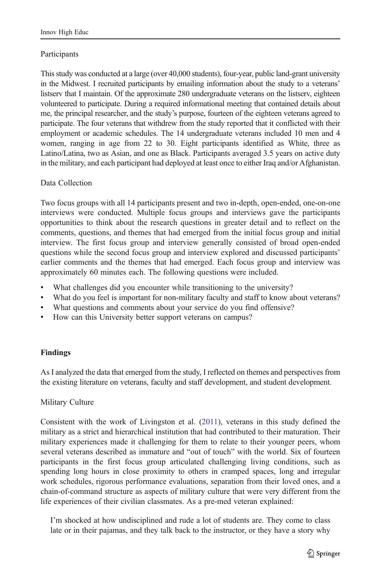# **Participants**

This study was conducted at a large (over 40,000 students), four-year, public land-grant university in the Midwest. I recruited participants by emailing information about the study to a veterans' listserv that I maintain. Of the approximate 280 undergraduate veterans on the listserv, eighteen volunteered to participate. During a required informational meeting that contained details about me, the principal researcher, and the study's purpose, fourteen of the eighteen veterans agreed to participate. The four veterans that withdrew from the study reported that it conflicted with their employment or academic schedules. The 14 undergraduate veterans included 10 men and 4 women, ranging in age from 22 to 30. Eight participants identified as White, three as Latino/Latina, two as Asian, and one as Black. Participants averaged 3.5 years on active duty in the military, and each participant had deployed at least once to either Iraq and/or Afghanistan.

# Data Collection

Two focus groups with all 14 participants present and two in-depth, open-ended, one-on-one interviews were conducted. Multiple focus groups and interviews gave the participants opportunities to think about the research questions in greater detail and to reflect on the comments, questions, and themes that had emerged from the initial focus group and initial interview. The first focus group and interview generally consisted of broad open-ended questions while the second focus group and interview explored and discussed participants' earlier comments and the themes that had emerged. Each focus group and interview was approximately 60 minutes each. The following questions were included.

- What challenges did you encounter while transitioning to the university?
- & What do you feel is important for non-military faculty and staff to know about veterans?
- What questions and comments about your service do you find offensive?
- How can this University better support veterans on campus?

# Findings

As I analyzed the data that emerged from the study, I reflected on themes and perspectives from the existing literature on veterans, faculty and staff development, and student development.

# Military Culture

Consistent with the work of Livingston et al. ([2011](#page-12-0)), veterans in this study defined the military as a strict and hierarchical institution that had contributed to their maturation. Their military experiences made it challenging for them to relate to their younger peers, whom several veterans described as immature and "out of touch" with the world. Six of fourteen participants in the first focus group articulated challenging living conditions, such as spending long hours in close proximity to others in cramped spaces, long and irregular work schedules, rigorous performance evaluations, separation from their loved ones, and a chain-of-command structure as aspects of military culture that were very different from the life experiences of their civilian classmates. As a pre-med veteran explained:

I'm shocked at how undisciplined and rude a lot of students are. They come to class late or in their pajamas, and they talk back to the instructor, or they have a story why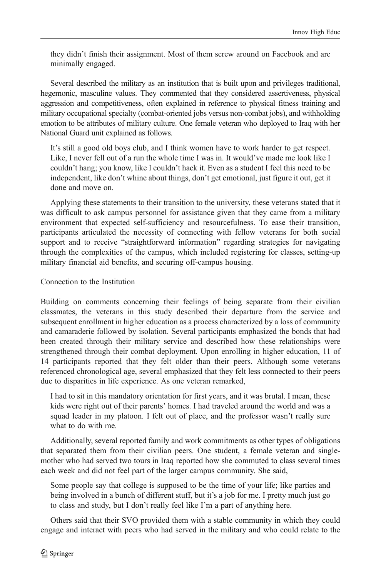they didn't finish their assignment. Most of them screw around on Facebook and are minimally engaged.

Several described the military as an institution that is built upon and privileges traditional, hegemonic, masculine values. They commented that they considered assertiveness, physical aggression and competitiveness, often explained in reference to physical fitness training and military occupational specialty (combat-oriented jobs versus non-combat jobs), and withholding emotion to be attributes of military culture. One female veteran who deployed to Iraq with her National Guard unit explained as follows.

It's still a good old boys club, and I think women have to work harder to get respect. Like, I never fell out of a run the whole time I was in. It would've made me look like I couldn't hang; you know, like I couldn't hack it. Even as a student I feel this need to be independent, like don't whine about things, don't get emotional, just figure it out, get it done and move on.

Applying these statements to their transition to the university, these veterans stated that it was difficult to ask campus personnel for assistance given that they came from a military environment that expected self-sufficiency and resourcefulness. To ease their transition, participants articulated the necessity of connecting with fellow veterans for both social support and to receive "straightforward information" regarding strategies for navigating through the complexities of the campus, which included registering for classes, setting-up military financial aid benefits, and securing off-campus housing.

## Connection to the Institution

Building on comments concerning their feelings of being separate from their civilian classmates, the veterans in this study described their departure from the service and subsequent enrollment in higher education as a process characterized by a loss of community and camaraderie followed by isolation. Several participants emphasized the bonds that had been created through their military service and described how these relationships were strengthened through their combat deployment. Upon enrolling in higher education, 11 of 14 participants reported that they felt older than their peers. Although some veterans referenced chronological age, several emphasized that they felt less connected to their peers due to disparities in life experience. As one veteran remarked,

I had to sit in this mandatory orientation for first years, and it was brutal. I mean, these kids were right out of their parents' homes. I had traveled around the world and was a squad leader in my platoon. I felt out of place, and the professor wasn't really sure what to do with me.

Additionally, several reported family and work commitments as other types of obligations that separated them from their civilian peers. One student, a female veteran and singlemother who had served two tours in Iraq reported how she commuted to class several times each week and did not feel part of the larger campus community. She said,

Some people say that college is supposed to be the time of your life; like parties and being involved in a bunch of different stuff, but it's a job for me. I pretty much just go to class and study, but I don't really feel like I'm a part of anything here.

Others said that their SVO provided them with a stable community in which they could engage and interact with peers who had served in the military and who could relate to the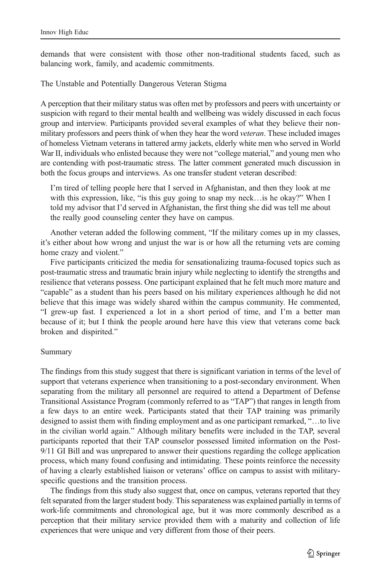demands that were consistent with those other non-traditional students faced, such as balancing work, family, and academic commitments.

The Unstable and Potentially Dangerous Veteran Stigma

A perception that their military status was often met by professors and peers with uncertainty or suspicion with regard to their mental health and wellbeing was widely discussed in each focus group and interview. Participants provided several examples of what they believe their nonmilitary professors and peers think of when they hear the word *veteran*. These included images of homeless Vietnam veterans in tattered army jackets, elderly white men who served in World War II, individuals who enlisted because they were not "college material," and young men who are contending with post-traumatic stress. The latter comment generated much discussion in both the focus groups and interviews. As one transfer student veteran described:

I'm tired of telling people here that I served in Afghanistan, and then they look at me with this expression, like, "is this guy going to snap my neck…is he okay?" When I told my advisor that I'd served in Afghanistan, the first thing she did was tell me about the really good counseling center they have on campus.

Another veteran added the following comment, "If the military comes up in my classes, it's either about how wrong and unjust the war is or how all the returning vets are coming home crazy and violent."

Five participants criticized the media for sensationalizing trauma-focused topics such as post-traumatic stress and traumatic brain injury while neglecting to identify the strengths and resilience that veterans possess. One participant explained that he felt much more mature and "capable" as a student than his peers based on his military experiences although he did not believe that this image was widely shared within the campus community. He commented, "I grew-up fast. I experienced a lot in a short period of time, and I'm a better man because of it; but I think the people around here have this view that veterans come back broken and dispirited."

#### Summary

The findings from this study suggest that there is significant variation in terms of the level of support that veterans experience when transitioning to a post-secondary environment. When separating from the military all personnel are required to attend a Department of Defense Transitional Assistance Program (commonly referred to as "TAP") that ranges in length from a few days to an entire week. Participants stated that their TAP training was primarily designed to assist them with finding employment and as one participant remarked, "…to live in the civilian world again." Although military benefits were included in the TAP, several participants reported that their TAP counselor possessed limited information on the Post-9/11 GI Bill and was unprepared to answer their questions regarding the college application process, which many found confusing and intimidating. These points reinforce the necessity of having a clearly established liaison or veterans' office on campus to assist with militaryspecific questions and the transition process.

The findings from this study also suggest that, once on campus, veterans reported that they felt separated from the larger student body. This separateness was explained partially in terms of work-life commitments and chronological age, but it was more commonly described as a perception that their military service provided them with a maturity and collection of life experiences that were unique and very different from those of their peers.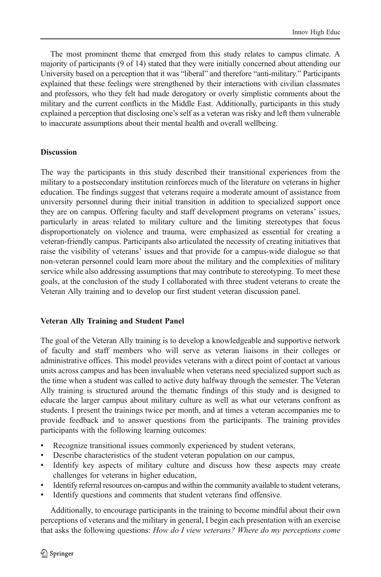The most prominent theme that emerged from this study relates to campus climate. A majority of participants (9 of 14) stated that they were initially concerned about attending our University based on a perception that it was "liberal" and therefore "anti-military." Participants explained that these feelings were strengthened by their interactions with civilian classmates and professors, who they felt had made derogatory or overly simplistic comments about the military and the current conflicts in the Middle East. Additionally, participants in this study explained a perception that disclosing one's self as a veteran was risky and left them vulnerable to inaccurate assumptions about their mental health and overall wellbeing.

#### **Discussion**

The way the participants in this study described their transitional experiences from the military to a postsecondary institution reinforces much of the literature on veterans in higher education. The findings suggest that veterans require a moderate amount of assistance from university personnel during their initial transition in addition to specialized support once they are on campus. Offering faculty and staff development programs on veterans' issues, particularly in areas related to military culture and the limiting stereotypes that focus disproportionately on violence and trauma, were emphasized as essential for creating a veteran-friendly campus. Participants also articulated the necessity of creating initiatives that raise the visibility of veterans' issues and that provide for a campus-wide dialogue so that non-veteran personnel could learn more about the military and the complexities of military service while also addressing assumptions that may contribute to stereotyping. To meet these goals, at the conclusion of the study I collaborated with three student veterans to create the Veteran Ally training and to develop our first student veteran discussion panel.

# Veteran Ally Training and Student Panel

The goal of the Veteran Ally training is to develop a knowledgeable and supportive network of faculty and staff members who will serve as veteran liaisons in their colleges or administrative offices. This model provides veterans with a direct point of contact at various units across campus and has been invaluable when veterans need specialized support such as the time when a student was called to active duty halfway through the semester. The Veteran Ally training is structured around the thematic findings of this study and is designed to educate the larger campus about military culture as well as what our veterans confront as students. I present the trainings twice per month, and at times a veteran accompanies me to provide feedback and to answer questions from the participants. The training provides participants with the following learning outcomes:

- Recognize transitional issues commonly experienced by student veterans,
- Describe characteristics of the student veteran population on our campus,
- Identify key aspects of military culture and discuss how these aspects may create challenges for veterans in higher education,
- Identify referral resources on-campus and within the community available to student veterans,
- Identify questions and comments that student veterans find offensive.

Additionally, to encourage participants in the training to become mindful about their own perceptions of veterans and the military in general, I begin each presentation with an exercise that asks the following questions: How do I view veterans? Where do my perceptions come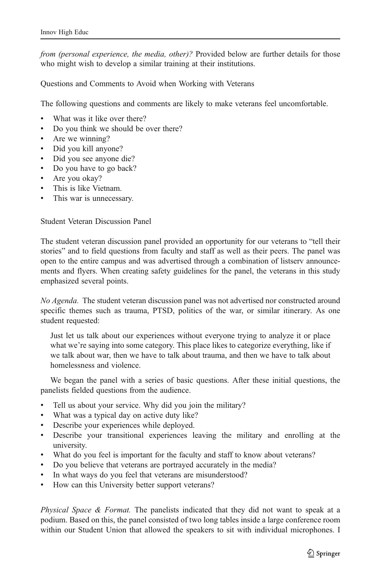from (personal experience, the media, other)? Provided below are further details for those who might wish to develop a similar training at their institutions.

Questions and Comments to Avoid when Working with Veterans

The following questions and comments are likely to make veterans feel uncomfortable.

- What was it like over there?
- & Do you think we should be over there?
- Are we winning?
- Did you kill anyone?
- & Did you see anyone die?
- Do you have to go back?
- Are you okay?
- This is like Vietnam.
- This war is unnecessary.

Student Veteran Discussion Panel

The student veteran discussion panel provided an opportunity for our veterans to "tell their stories" and to field questions from faculty and staff as well as their peers. The panel was open to the entire campus and was advertised through a combination of listserv announcements and flyers. When creating safety guidelines for the panel, the veterans in this study emphasized several points.

No Agenda. The student veteran discussion panel was not advertised nor constructed around specific themes such as trauma, PTSD, politics of the war, or similar itinerary. As one student requested:

Just let us talk about our experiences without everyone trying to analyze it or place what we're saying into some category. This place likes to categorize everything, like if we talk about war, then we have to talk about trauma, and then we have to talk about homelessness and violence.

We began the panel with a series of basic questions. After these initial questions, the panelists fielded questions from the audience.

- & Tell us about your service. Why did you join the military?
- What was a typical day on active duty like?
- Describe your experiences while deployed.
- & Describe your transitional experiences leaving the military and enrolling at the university.
- & What do you feel is important for the faculty and staff to know about veterans?
- Do you believe that veterans are portrayed accurately in the media?
- In what ways do you feel that veterans are misunderstood?
- How can this University better support veterans?

*Physical Space & Format.* The panelists indicated that they did not want to speak at a podium. Based on this, the panel consisted of two long tables inside a large conference room within our Student Union that allowed the speakers to sit with individual microphones. I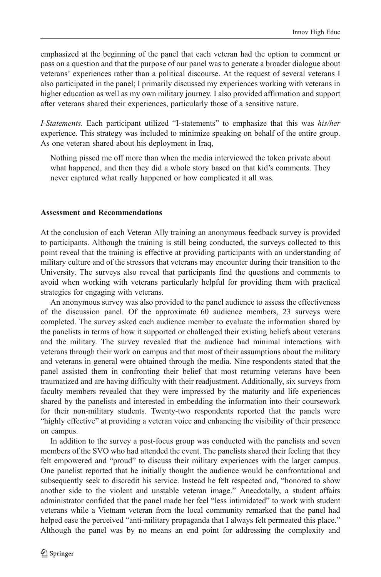emphasized at the beginning of the panel that each veteran had the option to comment or pass on a question and that the purpose of our panel was to generate a broader dialogue about veterans' experiences rather than a political discourse. At the request of several veterans I also participated in the panel; I primarily discussed my experiences working with veterans in higher education as well as my own military journey. I also provided affirmation and support after veterans shared their experiences, particularly those of a sensitive nature.

I-Statements. Each participant utilized "I-statements" to emphasize that this was his/her experience. This strategy was included to minimize speaking on behalf of the entire group. As one veteran shared about his deployment in Iraq,

Nothing pissed me off more than when the media interviewed the token private about what happened, and then they did a whole story based on that kid's comments. They never captured what really happened or how complicated it all was.

#### Assessment and Recommendations

At the conclusion of each Veteran Ally training an anonymous feedback survey is provided to participants. Although the training is still being conducted, the surveys collected to this point reveal that the training is effective at providing participants with an understanding of military culture and of the stressors that veterans may encounter during their transition to the University. The surveys also reveal that participants find the questions and comments to avoid when working with veterans particularly helpful for providing them with practical strategies for engaging with veterans.

An anonymous survey was also provided to the panel audience to assess the effectiveness of the discussion panel. Of the approximate 60 audience members, 23 surveys were completed. The survey asked each audience member to evaluate the information shared by the panelists in terms of how it supported or challenged their existing beliefs about veterans and the military. The survey revealed that the audience had minimal interactions with veterans through their work on campus and that most of their assumptions about the military and veterans in general were obtained through the media. Nine respondents stated that the panel assisted them in confronting their belief that most returning veterans have been traumatized and are having difficulty with their readjustment. Additionally, six surveys from faculty members revealed that they were impressed by the maturity and life experiences shared by the panelists and interested in embedding the information into their coursework for their non-military students. Twenty-two respondents reported that the panels were "highly effective" at providing a veteran voice and enhancing the visibility of their presence on campus.

In addition to the survey a post-focus group was conducted with the panelists and seven members of the SVO who had attended the event. The panelists shared their feeling that they felt empowered and "proud" to discuss their military experiences with the larger campus. One panelist reported that he initially thought the audience would be confrontational and subsequently seek to discredit his service. Instead he felt respected and, "honored to show another side to the violent and unstable veteran image." Anecdotally, a student affairs administrator confided that the panel made her feel "less intimidated" to work with student veterans while a Vietnam veteran from the local community remarked that the panel had helped ease the perceived "anti-military propaganda that I always felt permeated this place." Although the panel was by no means an end point for addressing the complexity and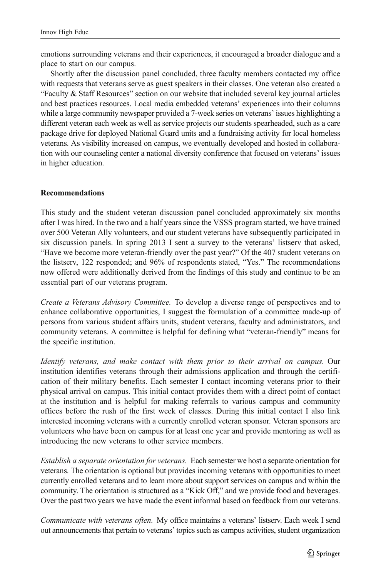emotions surrounding veterans and their experiences, it encouraged a broader dialogue and a place to start on our campus.

Shortly after the discussion panel concluded, three faculty members contacted my office with requests that veterans serve as guest speakers in their classes. One veteran also created a "Faculty & Staff Resources" section on our website that included several key journal articles and best practices resources. Local media embedded veterans' experiences into their columns while a large community newspaper provided a 7-week series on veterans' issues highlighting a different veteran each week as well as service projects our students spearheaded, such as a care package drive for deployed National Guard units and a fundraising activity for local homeless veterans. As visibility increased on campus, we eventually developed and hosted in collaboration with our counseling center a national diversity conference that focused on veterans' issues in higher education.

## Recommendations

This study and the student veteran discussion panel concluded approximately six months after I was hired. In the two and a half years since the VSSS program started, we have trained over 500 Veteran Ally volunteers, and our student veterans have subsequently participated in six discussion panels. In spring 2013 I sent a survey to the veterans' listserv that asked, "Have we become more veteran-friendly over the past year?" Of the 407 student veterans on the listserv, 122 responded; and 96% of respondents stated, "Yes." The recommendations now offered were additionally derived from the findings of this study and continue to be an essential part of our veterans program.

Create a Veterans Advisory Committee. To develop a diverse range of perspectives and to enhance collaborative opportunities, I suggest the formulation of a committee made-up of persons from various student affairs units, student veterans, faculty and administrators, and community veterans. A committee is helpful for defining what "veteran-friendly" means for the specific institution.

Identify veterans, and make contact with them prior to their arrival on campus. Our institution identifies veterans through their admissions application and through the certification of their military benefits. Each semester I contact incoming veterans prior to their physical arrival on campus. This initial contact provides them with a direct point of contact at the institution and is helpful for making referrals to various campus and community offices before the rush of the first week of classes. During this initial contact I also link interested incoming veterans with a currently enrolled veteran sponsor. Veteran sponsors are volunteers who have been on campus for at least one year and provide mentoring as well as introducing the new veterans to other service members.

Establish a separate orientation for veterans. Each semester we host a separate orientation for veterans. The orientation is optional but provides incoming veterans with opportunities to meet currently enrolled veterans and to learn more about support services on campus and within the community. The orientation is structured as a "Kick Off," and we provide food and beverages. Over the past two years we have made the event informal based on feedback from our veterans.

Communicate with veterans often. My office maintains a veterans' listserv. Each week I send out announcements that pertain to veterans' topics such as campus activities, student organization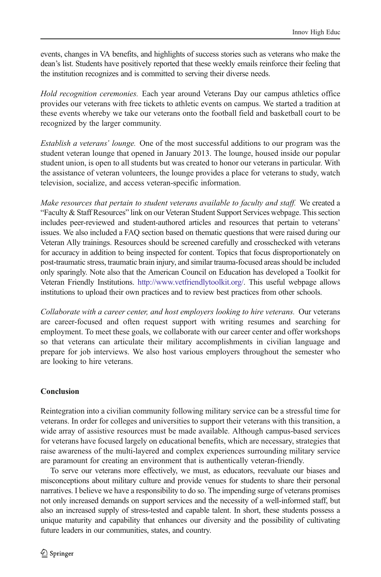events, changes in VA benefits, and highlights of success stories such as veterans who make the dean's list. Students have positively reported that these weekly emails reinforce their feeling that the institution recognizes and is committed to serving their diverse needs.

Hold recognition ceremonies. Each year around Veterans Day our campus athletics office provides our veterans with free tickets to athletic events on campus. We started a tradition at these events whereby we take our veterans onto the football field and basketball court to be recognized by the larger community.

Establish a veterans' lounge. One of the most successful additions to our program was the student veteran lounge that opened in January 2013. The lounge, housed inside our popular student union, is open to all students but was created to honor our veterans in particular. With the assistance of veteran volunteers, the lounge provides a place for veterans to study, watch television, socialize, and access veteran-specific information.

Make resources that pertain to student veterans available to faculty and staff. We created a "Faculty & Staff Resources" link on our Veteran Student Support Services webpage. This section includes peer-reviewed and student-authored articles and resources that pertain to veterans' issues. We also included a FAQ section based on thematic questions that were raised during our Veteran Ally trainings. Resources should be screened carefully and crosschecked with veterans for accuracy in addition to being inspected for content. Topics that focus disproportionately on post-traumatic stress, traumatic brain injury, and similar trauma-focused areas should be included only sparingly. Note also that the American Council on Education has developed a Toolkit for Veteran Friendly Institutions. [http://www.vetfriendlytoolkit.org/.](http://www.vetfriendlytoolkit.org/) This useful webpage allows institutions to upload their own practices and to review best practices from other schools.

Collaborate with a career center, and host employers looking to hire veterans. Our veterans are career-focused and often request support with writing resumes and searching for employment. To meet these goals, we collaborate with our career center and offer workshops so that veterans can articulate their military accomplishments in civilian language and prepare for job interviews. We also host various employers throughout the semester who are looking to hire veterans.

# Conclusion

Reintegration into a civilian community following military service can be a stressful time for veterans. In order for colleges and universities to support their veterans with this transition, a wide array of assistive resources must be made available. Although campus-based services for veterans have focused largely on educational benefits, which are necessary, strategies that raise awareness of the multi-layered and complex experiences surrounding military service are paramount for creating an environment that is authentically veteran-friendly.

To serve our veterans more effectively, we must, as educators, reevaluate our biases and misconceptions about military culture and provide venues for students to share their personal narratives. I believe we have a responsibility to do so. The impending surge of veterans promises not only increased demands on support services and the necessity of a well-informed staff, but also an increased supply of stress-tested and capable talent. In short, these students possess a unique maturity and capability that enhances our diversity and the possibility of cultivating future leaders in our communities, states, and country.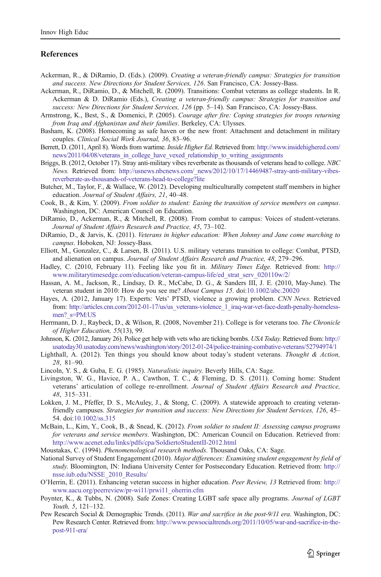#### <span id="page-12-0"></span>**References**

- Ackerman, R., & DiRamio, D. (Eds.). (2009). Creating a veteran-friendly campus: Strategies for transition and success. New Directions for Student Services, 126. San Francisco, CA: Jossey-Bass.
- Ackerman, R., DiRamio, D., & Mitchell, R. (2009). Transitions: Combat veterans as college students. In R. Ackerman & D. DiRamio (Eds.), Creating a veteran-friendly campus: Strategies for transition and success: New Directions for Student Services, 126 (pp. 5–14). San Francisco, CA: Jossey-Bass.
- Armstrong, K., Best, S., & Domenici, P. (2005). Courage after fire: Coping strategies for troops returning from Iraq and Afghanistan and their families. Berkeley, CA: Ulysses.
- Basham, K. (2008). Homecoming as safe haven or the new front: Attachment and detachment in military couples. Clinical Social Work Journal, 36, 83–96.
- Berrett, D. (2011, April 8). Words from wartime. *Inside Higher Ed.* Retrieved from: [http://www.insidehighered.com/](http://www.insidehighered.com/news/2011/04/08/veterans_in_college_have_vexed_relationship_to_writing_assignments) [news/2011/04/08/veterans\\_in\\_college\\_have\\_vexed\\_relationship\\_to\\_writing\\_assignments](http://www.insidehighered.com/news/2011/04/08/veterans_in_college_have_vexed_relationship_to_writing_assignments)
- Briggs, B. (2012, October 17). Stray anti-military vibes reverberate as thousands of veterans head to college. NBC News. Retrieved from: [http://usnews.nbcnews.com/\\_news/2012/10/17/14469487-stray-anti-military-vibes](http://usnews.nbcnews.com/_news/2012/10/17/14469487-stray-anti-military-vibes-reverberate-as-thousands-of-veterans-head-to-college?lite)[reverberate-as-thousands-of-veterans-head-to-college?lite](http://usnews.nbcnews.com/_news/2012/10/17/14469487-stray-anti-military-vibes-reverberate-as-thousands-of-veterans-head-to-college?lite)
- Butcher, M., Taylor, F., & Wallace, W. (2012). Developing multiculturally competent staff members in higher education. Journal of Student Affairs, 21, 40–48.
- Cook, B., & Kim, Y. (2009). From soldier to student: Easing the transition of service members on campus. Washington, DC: American Council on Education.
- DiRamio, D., Ackerman, R., & Mitchell, R. (2008). From combat to campus: Voices of student-veterans. Journal of Student Affairs Research and Practice, 45, 73–102.
- DiRamio, D., & Jarvis, K. (2011). Veterans in higher education: When Johnny and Jane come marching to campus. Hoboken, NJ: Jossey-Bass.
- Elliott, M., Gonzalez, C., & Larsen, B. (2011). U.S. military veterans transition to college: Combat, PTSD, and alienation on campus. Journal of Student Affairs Research and Practice, 48, 279–296.
- Hadley, C. (2010, February 11). Feeling like you fit in. Military Times Edge. Retrieved from: [http://](http://www.militarytimesedge.com/education/veteran-campus-life/ed_strat_serv_020110w/2/) [www.militarytimesedge.com/education/veteran-campus-life/ed\\_strat\\_serv\\_020110w/2/](http://www.militarytimesedge.com/education/veteran-campus-life/ed_strat_serv_020110w/2/)
- Hassan, A. M., Jackson, R., Lindsay, D. R., McCabe, D. G., & Sanders III, J. E. (2010, May-June). The veteran student in 2010: How do you see me? About Campus 15. doi:[10.1002/abc.20020](http://dx.doi.org/10.1002/abc.20020)
- Hayes, A. (2012, January 17). Experts: Vets' PTSD, violence a growing problem. CNN News. Retrieved from: [http://articles.cnn.com/2012-01-17/us/us\\_veterans-violence\\_1\\_iraq-war-vet-face-death-penalty-homeless](http://articles.cnn.com/2012-01-17/us/us_veterans-violence_1_iraq-war-vet-face-death-penalty-homeless-men?_s=PM:US)men? s=PM:US
- Herrmann, D. J., Raybeck, D., & Wilson, R. (2008, November 21). College is for veterans too. The Chronicle of Higher Education, 55(13), 99.
- Johnson, K. (2012, January 26). Police get help with vets who are ticking bombs. USA Today. Retrieved from: [http://](http://usatoday30.usatoday.com/news/washington/story/2012-01-24/police-training-combative-veterans/52794974/1) [usatoday30.usatoday.com/news/washington/story/2012-01-24/police-training-combative-veterans/52794974/1](http://usatoday30.usatoday.com/news/washington/story/2012-01-24/police-training-combative-veterans/52794974/1)
- Lighthall, A. (2012). Ten things you should know about today's student veterans. Thought & Action, 28, 81–90.
- Lincoln, Y. S., & Guba, E. G. (1985). Naturalistic inquiry. Beverly Hills, CA: Sage.
- Livingston, W. G., Havice, P. A., Cawthon, T. C., & Fleming, D. S. (2011). Coming home: Student veterans' articulation of college re-enrollment. Journal of Student Affairs Research and Practice, 48, 315–331.
- Lokken, J. M., Pfeffer, D. S., McAuley, J., & Stong, C. (2009). A statewide approach to creating veteranfriendly campuses. Strategies for transition and success: New Directions for Student Services, 126, 45– 54. doi[:10.1002/ss.315](http://dx.doi.org/10.1002/ss.315)
- McBain, L., Kim, Y., Cook, B., & Snead, K. (2012). From soldier to student II: Assessing campus programs for veterans and service members. Washington, DC: American Council on Education. Retrieved from: <http://www.acenet.edu/links/pdfs/cpa/SoldiertoStudentII-2012.html>
- Moustakas, C. (1994). Phenomenological research methods. Thousand Oaks, CA: Sage.
- National Survey of Student Engagement (2010). Major differences: Examining student engagement by field of study. Bloomington, IN: Indiana University Center for Postsecondary Education. Retrieved from: [http://](http://nsse.iub.edu/NSSE_2010_Results/) [nsse.iub.edu/NSSE\\_2010\\_Results/](http://nsse.iub.edu/NSSE_2010_Results/)
- O'Herrin, E. (2011). Enhancing veteran success in higher education. Peer Review, 13 Retrieved from: [http://](http://www.aacu.org/peerreview/pr-wi11/prwi11_oherrin.cfm) [www.aacu.org/peerreview/pr-wi11/prwi11\\_oherrin.cfm](http://www.aacu.org/peerreview/pr-wi11/prwi11_oherrin.cfm)
- Poynter, K., & Tubbs, N. (2008). Safe Zones: Creating LGBT safe space ally programs. Journal of LGBT Youth, 5, 121–132.
- Pew Research Social & Demographic Trends. (2011). War and sacrifice in the post-9/11 era. Washington, DC: Pew Research Center. Retrieved from: [http://www.pewsocialtrends.org/2011/10/05/war-and-sacrifice-in-the](http://www.pewsocialtrends.org/2011/10/05/war-and-sacrifice-in-the-post-911-era/)[post-911-era/](http://www.pewsocialtrends.org/2011/10/05/war-and-sacrifice-in-the-post-911-era/)